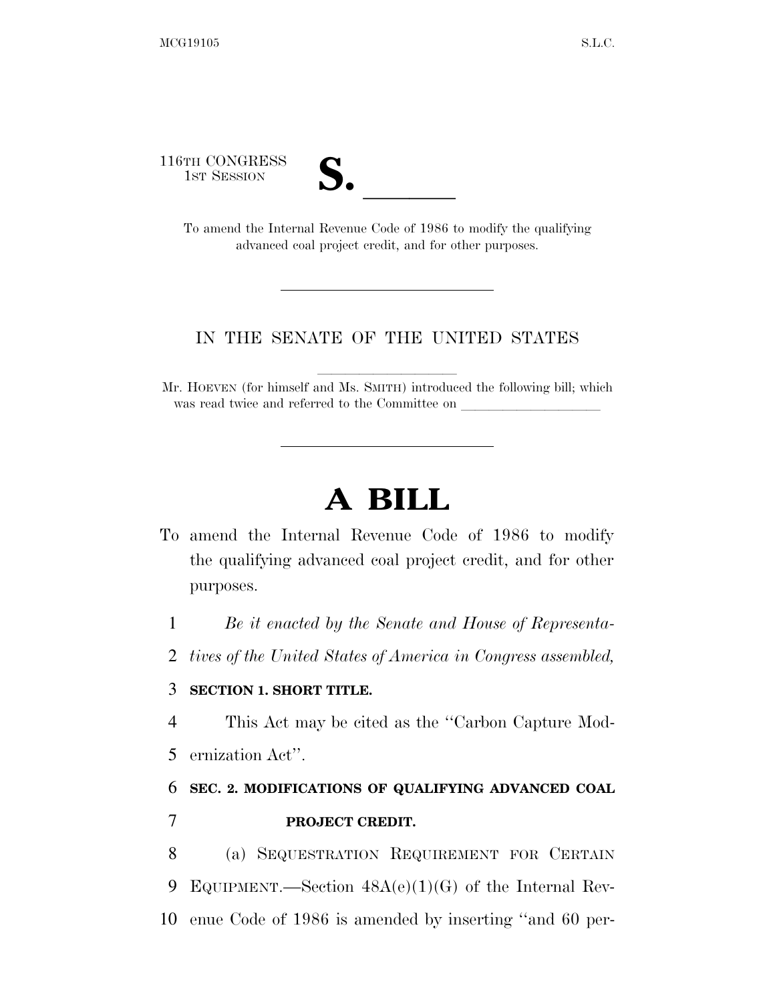116TH CONGRESS

TH CONGRESS<br>
1st Session<br>
To amend the Internal Revenue Code of 1986 to modify the qualifying advanced coal project credit, and for other purposes.

## IN THE SENATE OF THE UNITED STATES

Mr. HOEVEN (for himself and Ms. SMITH) introduced the following bill; which was read twice and referred to the Committee on

## **A BILL**

To amend the Internal Revenue Code of 1986 to modify the qualifying advanced coal project credit, and for other purposes.

1 *Be it enacted by the Senate and House of Representa-*

2 *tives of the United States of America in Congress assembled,* 

## 3 **SECTION 1. SHORT TITLE.**

4 This Act may be cited as the ''Carbon Capture Mod-

5 ernization Act''.

## 6 **SEC. 2. MODIFICATIONS OF QUALIFYING ADVANCED COAL**  7 **PROJECT CREDIT.**

8 (a) SEQUESTRATION REQUIREMENT FOR CERTAIN 9 EQUIPMENT.—Section 48A(e)(1)(G) of the Internal Rev-10 enue Code of 1986 is amended by inserting ''and 60 per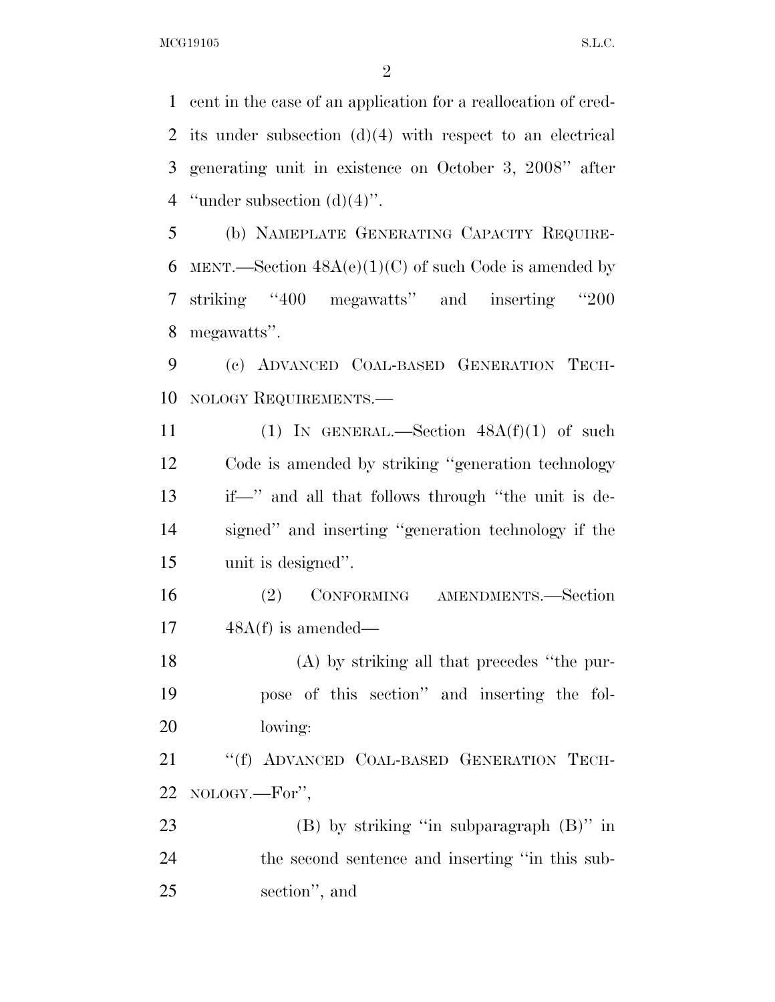MCG19105 S.L.C.

 cent in the case of an application for a reallocation of cred- its under subsection (d)(4) with respect to an electrical generating unit in existence on October 3, 2008'' after 4 "under subsection  $(d)(4)$ ".

 (b) NAMEPLATE GENERATING CAPACITY REQUIRE-6 MENT.—Section  $48A(e)(1)(C)$  of such Code is amended by striking ''400 megawatts'' and inserting ''200 megawatts''.

 (c) ADVANCED COAL-BASED GENERATION TECH-NOLOGY REQUIREMENTS.—

11 (1) IN GENERAL.—Section  $48A(f)(1)$  of such Code is amended by striking ''generation technology if—'' and all that follows through ''the unit is de- signed'' and inserting ''generation technology if the unit is designed''.

 (2) CONFORMING AMENDMENTS.—Section 48A(f) is amended—

 (A) by striking all that precedes ''the pur- pose of this section'' and inserting the fol-lowing:

 ''(f) ADVANCED COAL-BASED GENERATION TECH-NOLOGY.—For'',

 (B) by striking ''in subparagraph (B)'' in the second sentence and inserting ''in this sub-section'', and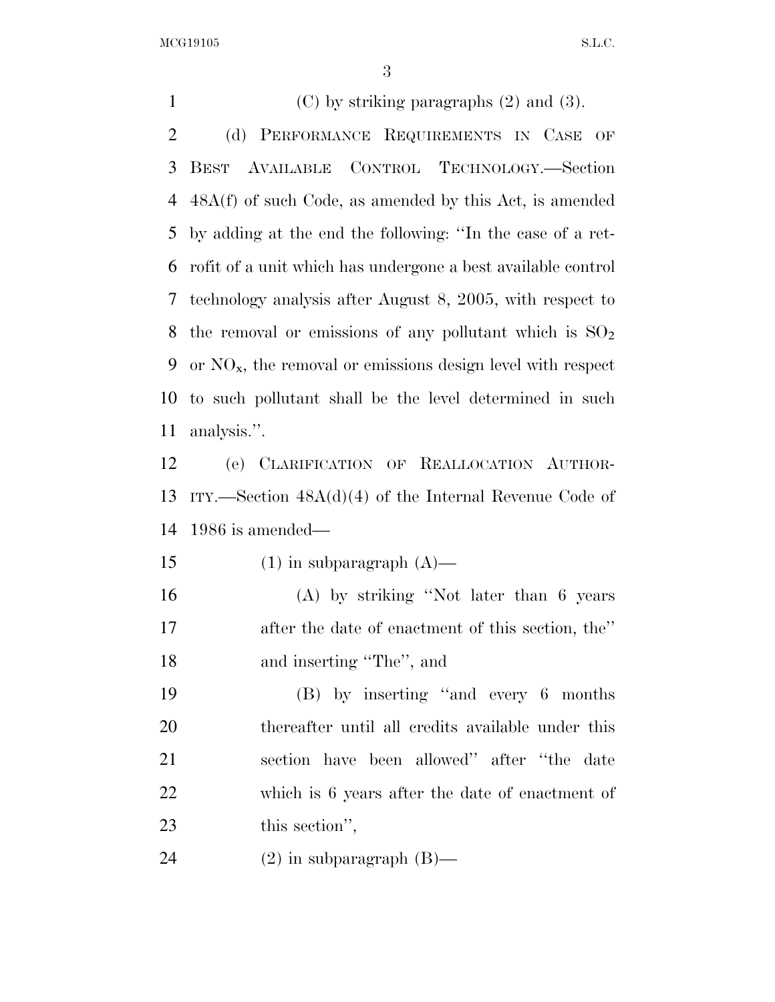MCG19105 S.L.C.

1 (C) by striking paragraphs  $(2)$  and  $(3)$ . (d) PERFORMANCE REQUIREMENTS IN CASE OF BEST AVAILABLE CONTROL TECHNOLOGY.—Section 48A(f) of such Code, as amended by this Act, is amended by adding at the end the following: ''In the case of a ret- rofit of a unit which has undergone a best available control technology analysis after August 8, 2005, with respect to 8 the removal or emissions of any pollutant which is  $SO_2$ 9 or  $NO_{x}$ , the removal or emissions design level with respect to such pollutant shall be the level determined in such analysis.''.

 (e) CLARIFICATION OF REALLOCATION AUTHOR- ITY.—Section 48A(d)(4) of the Internal Revenue Code of 1986 is amended—

15 (1) in subparagraph  $(A)$ —

 (A) by striking ''Not later than 6 years after the date of enactment of this section, the'' and inserting ''The'', and

 (B) by inserting ''and every 6 months thereafter until all credits available under this section have been allowed'' after ''the date which is 6 years after the date of enactment of 23 this section'',

(2) in subparagraph (B)—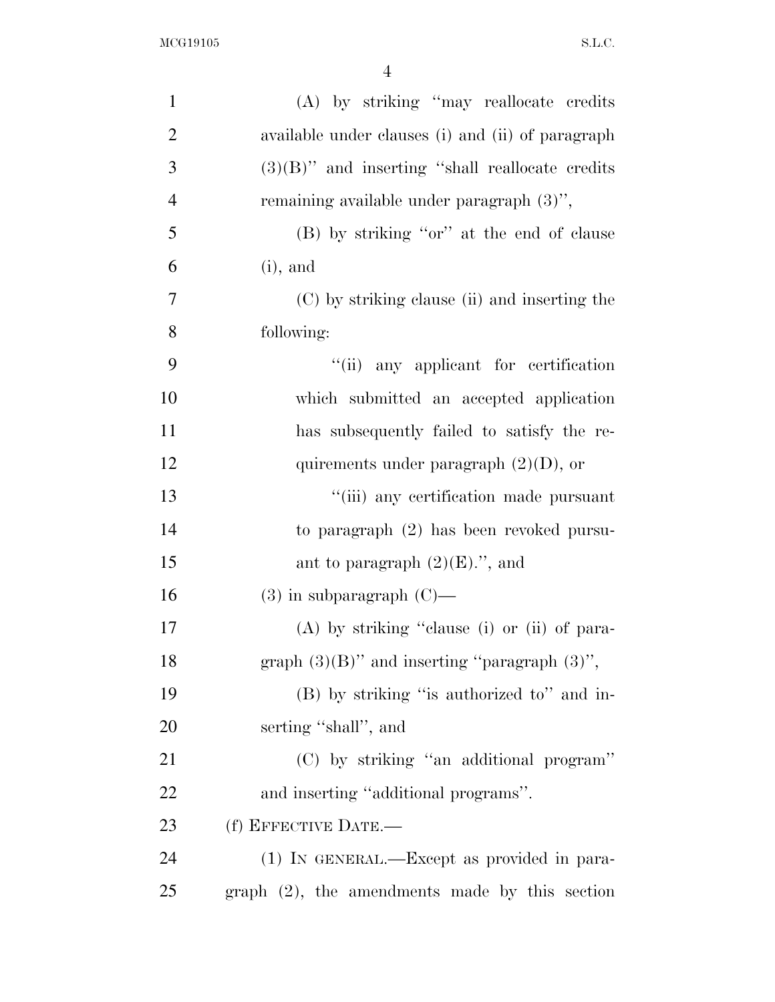| $\mathbf{1}$   | (A) by striking "may reallocate credits            |
|----------------|----------------------------------------------------|
| $\overline{2}$ | available under clauses (i) and (ii) of paragraph  |
| 3              | $(3)(B)$ " and inserting "shall reallocate credits |
| $\overline{4}$ | remaining available under paragraph $(3)$ ",       |
| 5              | (B) by striking "or" at the end of clause          |
| 6              | $(i)$ , and                                        |
| $\overline{7}$ | (C) by striking clause (ii) and inserting the      |
| 8              | following:                                         |
| 9              | "(ii) any applicant for certification              |
| 10             | which submitted an accepted application            |
| 11             | has subsequently failed to satisfy the re-         |
| 12             | quirements under paragraph $(2)(D)$ , or           |
| 13             | "(iii) any certification made pursuant             |
| 14             | to paragraph (2) has been revoked pursu-           |
| 15             | ant to paragraph $(2)(E)$ .", and                  |
| 16             | $(3)$ in subparagraph $(C)$ —                      |
| 17             | (A) by striking "clause (i) or (ii) of para-       |
| 18             | graph $(3)(B)$ " and inserting "paragraph $(3)$ ", |
| 19             | (B) by striking "is authorized to" and in-         |
| <b>20</b>      | serting "shall", and                               |
| 21             | (C) by striking "an additional program"            |
| 22             | and inserting "additional programs".               |
| 23             | (f) EFFECTIVE DATE.-                               |
| 24             | (1) IN GENERAL.—Except as provided in para-        |
| 25             | $graph$ (2), the amendments made by this section   |